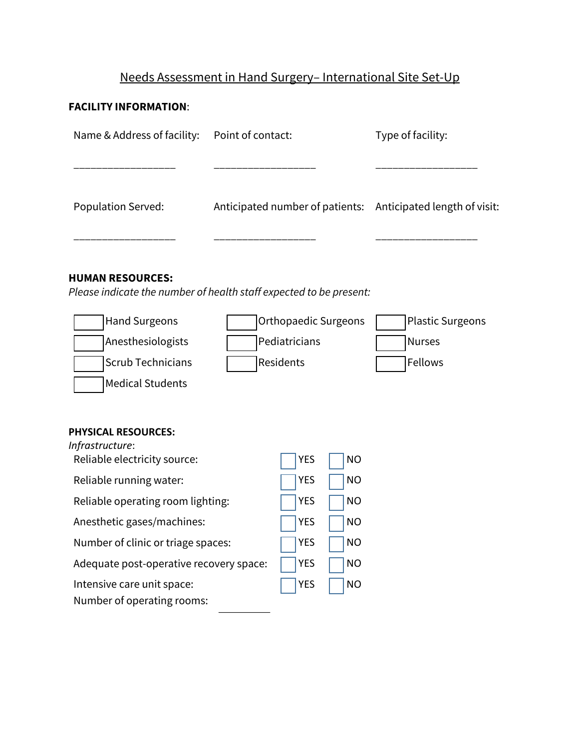# Needs Assessment in Hand Surgery– International Site Set-Up

# **FACILITY INFORMATION**:

| Name & Address of facility:                                                                                                                                            | Point of contact: |                                                           |           | Type of facility:                                            |
|------------------------------------------------------------------------------------------------------------------------------------------------------------------------|-------------------|-----------------------------------------------------------|-----------|--------------------------------------------------------------|
| Population Served:                                                                                                                                                     |                   |                                                           |           | Anticipated number of patients: Anticipated length of visit: |
| <b>HUMAN RESOURCES:</b><br>Please indicate the number of health staff expected to be present:<br><b>Hand Surgeons</b><br>Anesthesiologists<br><b>Scrub Technicians</b> |                   | <b>Orthopaedic Surgeons</b><br>Pediatricians<br>Residents |           | <b>Plastic Surgeons</b><br><b>Nurses</b><br>Fellows          |
| <b>Medical Students</b>                                                                                                                                                |                   |                                                           |           |                                                              |
| <b>PHYSICAL RESOURCES:</b><br>Infrastructure:                                                                                                                          |                   |                                                           |           |                                                              |
| Reliable electricity source:                                                                                                                                           |                   | <b>YES</b>                                                | <b>NO</b> |                                                              |
| Reliable running water:                                                                                                                                                |                   | <b>YES</b>                                                | <b>NO</b> |                                                              |
| Reliable operating room lighting:                                                                                                                                      |                   | <b>YES</b>                                                | <b>NO</b> |                                                              |
| Anesthetic gases/machines:                                                                                                                                             |                   | <b>YES</b>                                                | <b>NO</b> |                                                              |
| Number of clinic or triage spaces:                                                                                                                                     |                   | <b>YES</b>                                                | <b>NO</b> |                                                              |
| Adequate post-operative recovery space:                                                                                                                                |                   | <b>YES</b>                                                | <b>NO</b> |                                                              |
| Intensive care unit space:<br>Number of operating rooms:                                                                                                               |                   | <b>YES</b>                                                | <b>NO</b> |                                                              |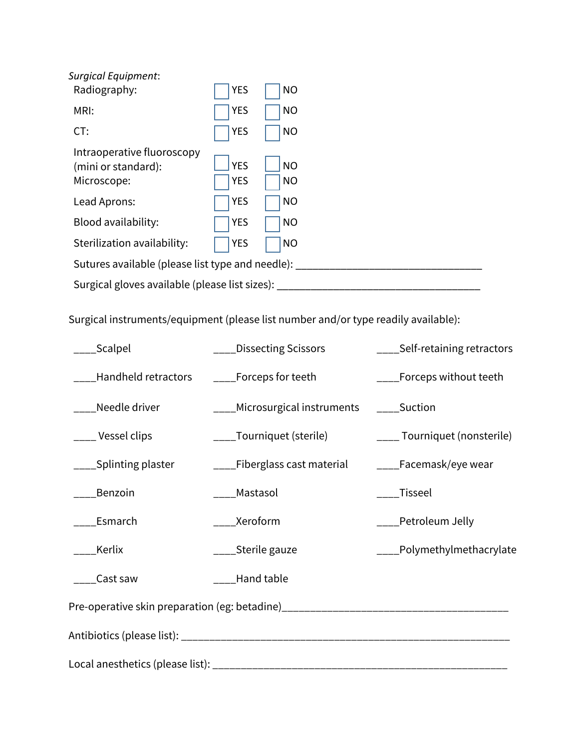| <b>Surgical Equipment:</b><br>Radiography:                       | <b>YES</b>               | <b>NO</b>              |  |
|------------------------------------------------------------------|--------------------------|------------------------|--|
| MRI:                                                             | <b>YES</b>               | <b>NO</b>              |  |
| CT:                                                              | <b>YES</b>               | <b>NO</b>              |  |
| Intraoperative fluoroscopy<br>(mini or standard):<br>Microscope: | <b>YES</b><br><b>YES</b> | <b>NO</b><br><b>NO</b> |  |
| Lead Aprons:                                                     | <b>YES</b>               | <b>NO</b>              |  |
| Blood availability:                                              | <b>YES</b>               | <b>NO</b>              |  |
| Sterilization availability:                                      | <b>YES</b>               | <b>NO</b>              |  |
| Sutures available (please list type and needle):                 |                          |                        |  |
| Surgical gloves available (please list sizes):                   |                          |                        |  |

Surgical instruments/equipment (please list number and/or type readily available):

| _Scalpel                                                                         | Dissecting Scissors                            | ____Self-retaining retractors |  |
|----------------------------------------------------------------------------------|------------------------------------------------|-------------------------------|--|
| ___Handheld retractors                                                           | $\rule{1em}{0.15mm}$ =_______Forceps for teeth | _____Forceps without teeth    |  |
| Needle driver                                                                    | ____Microsurgical instruments _____Suction     |                               |  |
| ____ Vessel clips                                                                | ____Tourniquet (sterile)                       | ____ Tourniquet (nonsterile)  |  |
| ____Splinting plaster                                                            |                                                |                               |  |
| ____Benzoin                                                                      | ____Mastasol                                   | _Tisseel                      |  |
| _____Esmarch                                                                     | _____Xeroform                                  | ____Petroleum Jelly           |  |
| ___Kerlix                                                                        | ____Sterile gauze                              | ____Polymethylmethacrylate    |  |
| Cast saw                                                                         | ____Hand table                                 |                               |  |
| Pre-operative skin preparation (eg: betadine)___________________________________ |                                                |                               |  |
|                                                                                  |                                                |                               |  |
|                                                                                  |                                                |                               |  |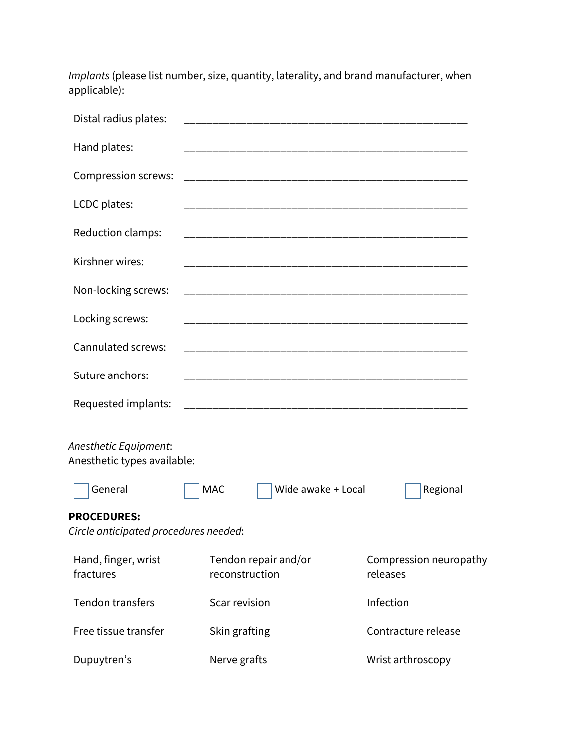*Implants* (please list number, size, quantity, laterality, and brand manufacturer, when applicable):

| Distal radius plates:                                       |                                        |                                    |
|-------------------------------------------------------------|----------------------------------------|------------------------------------|
| Hand plates:                                                |                                        |                                    |
| <b>Compression screws:</b>                                  |                                        |                                    |
| LCDC plates:                                                |                                        |                                    |
| Reduction clamps:                                           |                                        |                                    |
| Kirshner wires:                                             |                                        |                                    |
| Non-locking screws:                                         |                                        |                                    |
| Locking screws:                                             |                                        |                                    |
| Cannulated screws:                                          |                                        |                                    |
| Suture anchors:                                             |                                        |                                    |
| Requested implants:                                         |                                        |                                    |
| Anesthetic Equipment:<br>Anesthetic types available:        |                                        |                                    |
| General                                                     | <b>MAC</b><br>Wide awake + Local       | Regional                           |
| <b>PROCEDURES:</b><br>Circle anticipated procedures needed: |                                        |                                    |
| Hand, finger, wrist<br>fractures                            | Tendon repair and/or<br>reconstruction | Compression neuropathy<br>releases |
| <b>Tendon transfers</b>                                     | Scar revision                          | Infection                          |
| Free tissue transfer                                        | Skin grafting                          | Contracture release                |
| Dupuytren's                                                 | Nerve grafts                           | Wrist arthroscopy                  |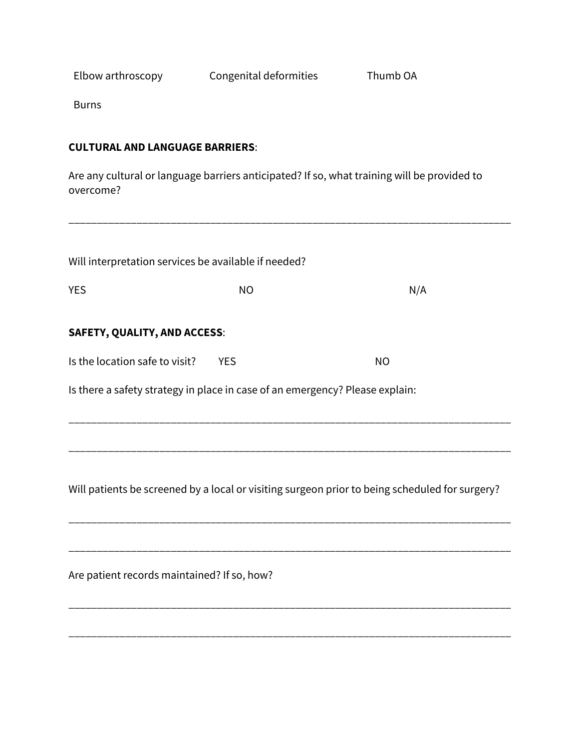Elbow arthroscopy Congenital deformities Thumb OA

Burns

## **CULTURAL AND LANGUAGE BARRIERS**:

Are any cultural or language barriers anticipated? If so, what training will be provided to overcome?

\_\_\_\_\_\_\_\_\_\_\_\_\_\_\_\_\_\_\_\_\_\_\_\_\_\_\_\_\_\_\_\_\_\_\_\_\_\_\_\_\_\_\_\_\_\_\_\_\_\_\_\_\_\_\_\_\_\_\_\_\_\_\_\_\_\_\_\_\_\_\_\_\_\_\_\_\_\_

| Will interpretation services be available if needed?                         |                                                                                                |           |  |  |  |
|------------------------------------------------------------------------------|------------------------------------------------------------------------------------------------|-----------|--|--|--|
| <b>YES</b>                                                                   | <b>NO</b>                                                                                      | N/A       |  |  |  |
| <b>SAFETY, QUALITY, AND ACCESS:</b>                                          |                                                                                                |           |  |  |  |
| Is the location safe to visit?                                               | <b>YES</b>                                                                                     | <b>NO</b> |  |  |  |
| Is there a safety strategy in place in case of an emergency? Please explain: |                                                                                                |           |  |  |  |
|                                                                              |                                                                                                |           |  |  |  |
|                                                                              |                                                                                                |           |  |  |  |
|                                                                              | Will patients be screened by a local or visiting surgeon prior to being scheduled for surgery? |           |  |  |  |
|                                                                              |                                                                                                |           |  |  |  |
| Are patient records maintained? If so, how?                                  |                                                                                                |           |  |  |  |

\_\_\_\_\_\_\_\_\_\_\_\_\_\_\_\_\_\_\_\_\_\_\_\_\_\_\_\_\_\_\_\_\_\_\_\_\_\_\_\_\_\_\_\_\_\_\_\_\_\_\_\_\_\_\_\_\_\_\_\_\_\_\_\_\_\_\_\_\_\_\_\_\_\_\_\_\_\_